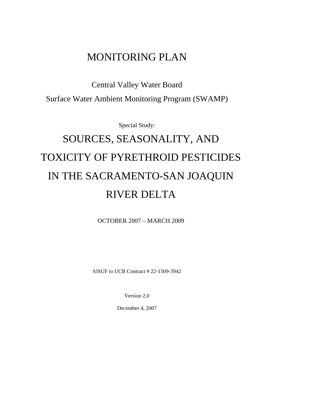# MONITORING PLAN

Central Valley Water Board Surface Water Ambient Monitoring Program (SWAMP)

Special Study:

# SOURCES, SEASONALITY, AND TOXICITY OF PYRETHROID PESTICIDES IN THE SACRAMENTO-SAN JOAQUIN RIVER DELTA

OCTOBER 2007 – MARCH 2009

SJSUF to UCB Contract # 22-1509-3942

Version 2.0

December 4, 2007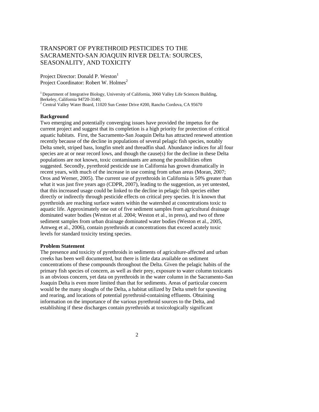### TRANSPORT OF PYRETHROID PESTICIDES TO THE SACRAMENTO-SAN JOAQUIN RIVER DELTA: SOURCES, SEASONALITY, AND TOXICITY

Project Director: Donald P. Weston<sup>1</sup> Project Coordinator: Robert W. Holmes<sup>2</sup>

<sup>1</sup> Department of Integrative Biology, University of California, 3060 Valley Life Sciences Building, Berkeley, California 94720-3140; <sup>2</sup> Central Valley Water Board, 11020 Sun Center Drive #200, Rancho Cordova, CA 95670

#### **Background**

Two emerging and potentially converging issues have provided the impetus for the current project and suggest that its completion is a high priority for protection of critical aquatic habitats. First, the Sacramento-San Joaquin Delta has attracted renewed attention recently because of the decline in populations of several pelagic fish species, notably Delta smelt, striped bass, longfin smelt and threadfin shad. Abundance indices for all four species are at or near record lows, and though the cause(s) for the decline in these Delta populations are not known, toxic contaminants are among the possibilities often suggested. Secondly, pyrethroid pesticide use in California has grown dramatically in recent years, with much of the increase in use coming from urban areas (Moran, 2007; Oros and Werner, 2005). The current use of pyrethroids in California is 50% greater than what it was just five years ago (CDPR, 2007), leading to the suggestion, as yet untested, that this increased usage could be linked to the decline in pelagic fish species either directly or indirectly through pesticide effects on critical prey species. It is known that pyrethroids are reaching surface waters within the watershed at concentrations toxic to aquatic life. Approximately one out of five sediment samples from agricultural drainage dominated water bodies (Weston et al. 2004; Weston et al., in press), and two of three sediment samples from urban drainage dominated water bodies (Weston et al., 2005, Amweg et al., 2006), contain pyrethroids at concentrations that exceed acutely toxic levels for standard toxicity testing species.

#### **Problem Statement**

The presence and toxicity of pyrethroids in sediments of agriculture-affected and urban creeks has been well documented, but there is little data available on sediment concentrations of these compounds throughout the Delta. Given the pelagic habits of the primary fish species of concern, as well as their prey, exposure to water column toxicants is an obvious concern, yet data on pyrethroids in the water column in the Sacramento-San Joaquin Delta is even more limited than that for sediments. Areas of particular concern would be the many sloughs of the Delta, a habitat utilized by Delta smelt for spawning and rearing, and locations of potential pyrethroid-containing effluents. Obtaining information on the importance of the various pyrethroid sources to the Delta, and establishing if these discharges contain pyrethroids at toxicologically significant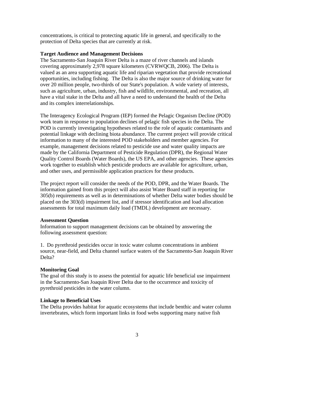concentrations, is critical to protecting aquatic life in general, and specifically to the protection of Delta species that are currently at risk.

#### **Target Audience and Management Decisions**

The Sacramento-San Joaquin River Delta is a maze of river channels and islands covering approximately 2,978 square kilometers (CVRWQCB, 2006). The Delta is valued as an area supporting aquatic life and riparian vegetation that provide recreational opportunities, including fishing. The Delta is also the major source of drinking water for over 20 million people, two-thirds of our State's population. A wide variety of interests, such as agriculture, urban, industry, fish and wildlife, environmental, and recreation, all have a vital stake in the Delta and all have a need to understand the health of the Delta and its complex interrelationships.

The Interagency Ecological Program (IEP) formed the Pelagic Organism Decline (POD) work team in response to population declines of pelagic fish species in the Delta. The POD is currently investigating hypotheses related to the role of aquatic contaminants and potential linkage with declining biota abundance. The current project will provide critical information to many of the interested POD stakeholders and member agencies. For example, management decisions related to pesticide use and water quality impacts are made by the California Department of Pesticide Regulation (DPR), the Regional Water Quality Control Boards (Water Boards), the US EPA, and other agencies. These agencies work together to establish which pesticide products are available for agriculture, urban, and other uses, and permissible application practices for these products.

The project report will consider the needs of the POD, DPR, and the Water Boards. The information gained from this project will also assist Water Board staff in reporting for 305(b) requirements as well as in determinations of whether Delta water bodies should be placed on the 303(d) impairment list, and if stressor identification and load allocation assessments for total maximum daily load (TMDL) development are necessary.

#### **Assessment Question**

Information to support management decisions can be obtained by answering the following assessment question:

1. Do pyrethroid pesticides occur in toxic water column concentrations in ambient source, near-field, and Delta channel surface waters of the Sacramento-San Joaquin River Delta?

#### **Monitoring Goal**

The goal of this study is to assess the potential for aquatic life beneficial use impairment in the Sacramento-San Joaquin River Delta due to the occurrence and toxicity of pyrethroid pesticides in the water column.

#### **Linkage to Beneficial Uses**

The Delta provides habitat for aquatic ecosystems that include benthic and water column invertebrates, which form important links in food webs supporting many native fish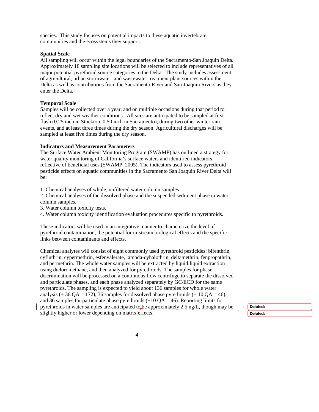species. This study focuses on potential impacts to these aquatic invertebrate communities and the ecosystems they support.

#### **Spatial Scale**

All sampling will occur within the legal boundaries of the Sacramento-San Joaquin Delta. Approximately 18 sampling site locations will be selected to include representatives of all major potential pyrethroid source categories to the Delta. The study includes assessment of agricultural, urban stormwater, and wastewater treatment plant sources within the Delta as well as contributions from the Sacramento River and San Joaquin Rivers as they enter the Delta.

#### **Temporal Scale**

Samples will be collected over a year, and on multiple occasions during that period to reflect dry and wet weather conditions. All sites are anticipated to be sampled at first flush (0.25 inch in Stockton, 0.50 inch in Sacramento), during two other winter rain events, and at least three times during the dry season. Agricultural discharges will be sampled at least five times during the dry season.

#### **Indicators and Measurement Parameters**

The Surface Water Ambient Monitoring Program (SWAMP) has outlined a strategy for water quality monitoring of California's surface waters and identified indicators reflective of beneficial uses (SWAMP, 2005). The indicators used to assess pyrethroid pesticide effects on aquatic communities in the Sacramento San Joaquin River Delta will be:

1. Chemical analyses of whole, unfiltered water column samples.

2. Chemical analyses of the dissolved phase and the suspended sediment phase in water column samples.

3. Water column toxicity tests.

4. Water column toxicity identification evaluation procedures specific to pyrethroids.

These indicators will be used in an integrative manner to characterize the level of pyrethroid contamination, the potential for in-stream biological effects and the specific links between contaminants and effects.

Chemical analytes will consist of eight commonly used pyrethroid pesticides: bifenthrin, cyfluthrin, cypermethrin, esfenvalerate, lambda-cyhalothrin, deltamethrin, fenpropathrin, and permethrin. The whole water samples will be extracted by liquid:liquid extraction using dicloromethane, and then analyzed for pyrethroids. The samples for phase discrimination will be processed on a continuous flow centrifuge to separate the dissolved and particulate phases, and each phase analyzed separately by GC/ECD for the same pyrethroids. The sampling is expected to yield about 136 samples for whole water analysis (+ 36 QA = 172), 36 samples for dissolved phase pyrethroids (+ 10 QA = 46), and 36 samples for particulate phase pyrethroids  $(+10 \text{ OA} = 46)$ . Reporting limits for pyrethroids in water samples are anticipated to be approximately 2.5 ng/L, though may be slightly higher or lower depending on matrix effects.

**Deleted: Deleted:**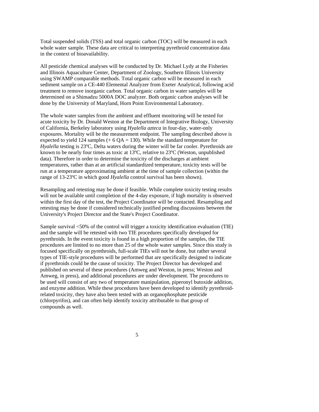Total suspended solids (TSS) and total organic carbon (TOC) will be measured in each whole water sample. These data are critical to interpreting pyrethroid concentration data in the context of bioavailability.

All pesticide chemical analyses will be conducted by Dr. Michael Lydy at the Fisheries and Illinois Aquaculture Center, Department of Zoology, Southern Illinois University using SWAMP comparable methods. Total organic carbon will be measured in each sediment sample on a CE-440 Elemental Analyzer from Exeter Analytical, following acid treatment to remove inorganic carbon. Total organic carbon in water samples will be determined on a Shimadzu 5000A DOC analyzer. Both organic carbon analyses will be done by the University of Maryland, Horn Point Environmental Laboratory.

The whole water samples from the ambient and effluent monitoring will be tested for acute toxicity by Dr. Donald Weston at the Department of Integrative Biology, University of California, Berkeley laboratory using *Hyalella azteca* in four-day, water-only exposures. Mortality will be the measurement endpoint. The sampling described above is expected to yield 124 samples  $(+ 6 QA = 130)$ . While the standard temperature for *Hyalella* testing is 23ºC, Delta waters during the winter will be far cooler. Pyrethroids are known to be nearly four times as toxic at 13ºC, relative to 23ºC (Weston, unpublished data). Therefore in order to determine the toxicity of the discharges at ambient temperatures, rather than at an artificial standardized temperature, toxicity tests will be run at a temperature approximating ambient at the time of sample collection (within the range of 13-23ºC in which good *Hyalella* control survival has been shown).

Resampling and retesting may be done if feasible. While complete toxicity testing results will not be available until completion of the 4-day exposure, if high mortality is observed within the first day of the test, the Project Coordinator will be contacted. Resampling and retesting may be done if considered technically justified pending discussions between the University's Project Director and the State's Project Coordinator.

Sample survival <50% of the control will trigger a toxicity identification evaluation (TIE) and the sample will be retested with two TIE procedures specifically developed for pyrethroids. In the event toxicity is found in a high proportion of the samples, the TIE procedures are limited to no more than 25 of the whole water samples. Since this study is focused specifically on pyrethroids, full-scale TIEs will not be done, but rather several types of TIE-style procedures will be performed that are specifically designed to indicate if pyrethroids could be the cause of toxicity. The Project Director has developed and published on several of these procedures (Amweg and Weston, in press; Weston and Amweg, in press), and additional procedures are under development. The procedures to be used will consist of any two of temperature manipulation, piperonyl butoxide addition, and enzyme addition. While these procedures have been developed to identify pyrethroidrelated toxicity, they have also been tested with an organophosphate pesticide (chlorpyrifos), and can often help identify toxicity attributable to that group of compounds as well.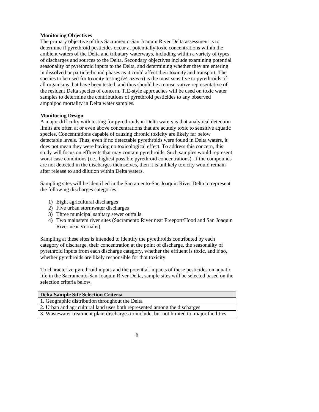#### **Monitoring Objectives**

The primary objective of this Sacramento-San Joaquin River Delta assessment is to determine if pyrethroid pesticides occur at potentially toxic concentrations within the ambient waters of the Delta and tributary waterways, including within a variety of types of discharges and sources to the Delta. Secondary objectives include examining potential seasonality of pyrethroid inputs to the Delta, and determining whether they are entering in dissolved or particle-bound phases as it could affect their toxicity and transport. The species to be used for toxicity testing (*H. azteca*) is the most sensitive to pyrethroids of all organisms that have been tested, and thus should be a conservative representative of the resident Delta species of concern. TIE-style approaches will be used on toxic water samples to determine the contributions of pyrethroid pesticides to any observed amphipod mortality in Delta water samples.

#### **Monitoring Design**

A major difficulty with testing for pyrethroids in Delta waters is that analytical detection limits are often at or even above concentrations that are acutely toxic to sensitive aquatic species. Concentrations capable of causing chronic toxicity are likely far below detectable levels. Thus, even if no detectable pyrethroids were found in Delta waters, it does not mean they were having no toxicological effect. To address this concern, this study will focus on effluents that may contain pyrethroids. Such samples would represent worst case conditions (i.e., highest possible pyrethroid concentrations). If the compounds are not detected in the discharges themselves, then it is unlikely toxicity would remain after release to and dilution within Delta waters.

Sampling sites will be identified in the Sacramento-San Joaquin River Delta to represent the following discharges categories:

- 1) Eight agricultural discharges
- 2) Five urban stormwater discharges
- 3) Three municipal sanitary sewer outfalls
- 4) Two mainstem river sites (Sacramento River near Freeport/Hood and San Joaquin River near Vernalis)

Sampling at these sites is intended to identify the pyrethroids contributed by each category of discharge, their concentration at the point of discharge, the seasonality of pyrethroid inputs from each discharge category, whether the effluent is toxic, and if so, whether pyrethroids are likely responsible for that toxicity.

To characterize pyrethroid inputs and the potential impacts of these pesticides on aquatic life in the Sacramento-San Joaquin River Delta, sample sites will be selected based on the selection criteria below.

| <b>Delta Sample Site Selection Criteria</b>                                               |
|-------------------------------------------------------------------------------------------|
| 1. Geographic distribution throughout the Delta                                           |
| 2. Urban and agricultural land uses both represented among the discharges                 |
|                                                                                           |
| 3. Wastewater treatment plant discharges to include, but not limited to, major facilities |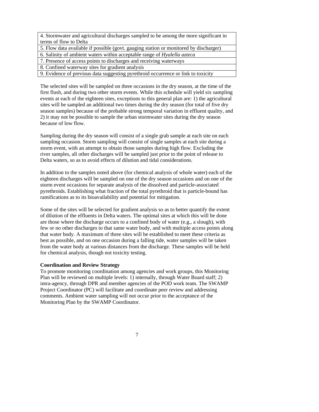4. Stormwater and agricultural discharges sampled to be among the more significant in terms of flow to Delta

5. Flow data available if possible (govt. gauging station or monitored by discharger)

6. Salinity of ambient waters within acceptable range of *Hyalella azteca*

7. Presence of access points to discharges and receiving waterways

8. Confined waterway sites for gradient analysis

9. Evidence of previous data suggesting pyrethroid occurrence or link to toxicity

The selected sites will be sampled on three occasions in the dry season, at the time of the first flush, and during two other storm events. While this schedule will yield six sampling events at each of the eighteen sites, exceptions to this general plan are: 1) the agricultural sites will be sampled an additional two times during the dry season (for total of five dry season samples) because of the probable strong temporal variation in effluent quality, and 2) it may not be possible to sample the urban stormwater sites during the dry season because of low flow.

Sampling during the dry season will consist of a single grab sample at each site on each sampling occasion. Storm sampling will consist of single samples at each site during a storm event, with an attempt to obtain those samples during high flow. Excluding the river samples, all other discharges will be sampled just prior to the point of release to Delta waters, so as to avoid effects of dilution and tidal considerations.

In addition to the samples noted above (for chemical analysis of whole water) each of the eighteen discharges will be sampled on one of the dry season occasions and on one of the storm event occasions for separate analysis of the dissolved and particle-associated pyrethroids. Establishing what fraction of the total pyrethroid that is particle-bound has ramifications as to its bioavailability and potential for mitigation.

Some of the sites will be selected for gradient analysis so as to better quantify the extent of dilution of the effluents in Delta waters. The optimal sites at which this will be done are those where the discharge occurs to a confined body of water (e.g., a slough), with few or no other discharges to that same water body, and with multiple access points along that water body. A maximum of three sites will be established to meet these criteria as best as possible, and on one occasion during a falling tide, water samples will be taken from the water body at various distances from the discharge. These samples will be held for chemical analysis, though not toxicity testing.

#### **Coordination and Review Strategy**

To promote monitoring coordination among agencies and work groups, this Monitoring Plan will be reviewed on multiple levels: 1) internally, through Water Board staff; 2) intra-agency, through DPR and member agencies of the POD work team. The SWAMP Project Coordinator (PC) will facilitate and coordinate peer review and addressing comments. Ambient water sampling will not occur prior to the acceptance of the Monitoring Plan by the SWAMP Coordinator.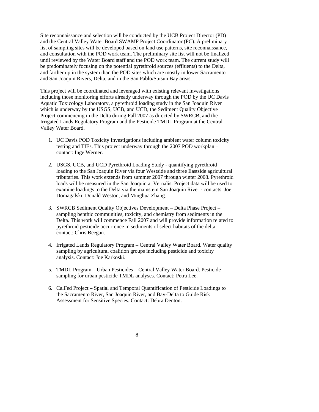Site reconnaissance and selection will be conducted by the UCB Project Director (PD) and the Central Valley Water Board SWAMP Project Coordinator (PC). A preliminary list of sampling sites will be developed based on land use patterns, site reconnaissance, and consultation with the POD work team. The preliminary site list will not be finalized until reviewed by the Water Board staff and the POD work team. The current study will be predominately focusing on the potential pyrethroid sources (effluents) to the Delta, and farther up in the system than the POD sites which are mostly in lower Sacramento and San Joaquin Rivers, Delta, and in the San Pablo/Suisun Bay areas.

This project will be coordinated and leveraged with existing relevant investigations including those monitoring efforts already underway through the POD by the UC Davis Aquatic Toxicology Laboratory, a pyrethroid loading study in the San Joaquin River which is underway by the USGS, UCB, and UCD, the Sediment Quality Objective Project commencing in the Delta during Fall 2007 as directed by SWRCB, and the Irrigated Lands Regulatory Program and the Pesticide TMDL Program at the Central Valley Water Board.

- 1. UC Davis POD Toxicity Investigations including ambient water column toxicity testing and TIEs. This project underway through the 2007 POD workplan – contact: Inge Werner.
- 2. USGS, UCB, and UCD Pyrethroid Loading Study quantifying pyrethroid loading to the San Joaquin River via four Westside and three Eastside agricultural tributaries. This work extends from summer 2007 through winter 2008. Pyrethroid loads will be measured in the San Joaquin at Vernalis. Project data will be used to examine loadings to the Delta via the mainstem San Joaquin River - contacts: Joe Domagalski, Donald Weston, and Minghua Zhang.
- 3. SWRCB Sediment Quality Objectives Development Delta Phase Project sampling benthic communities, toxicity, and chemistry from sediments in the Delta. This work will commence Fall 2007 and will provide information related to pyrethroid pesticide occurrence in sediments of select habitats of the delta – contact: Chris Beegan.
- 4. Irrigated Lands Regulatory Program Central Valley Water Board. Water quality sampling by agricultural coalition groups including pesticide and toxicity analysis. Contact: Joe Karkoski.
- 5. TMDL Program Urban Pesticides Central Valley Water Board. Pesticide sampling for urban pesticide TMDL analyses. Contact: Petra Lee.
- 6. CalFed Project Spatial and Temporal Quantification of Pesticide Loadings to the Sacramento River, San Joaquin River, and Bay-Delta to Guide Risk Assessment for Sensitive Species. Contact: Debra Denton.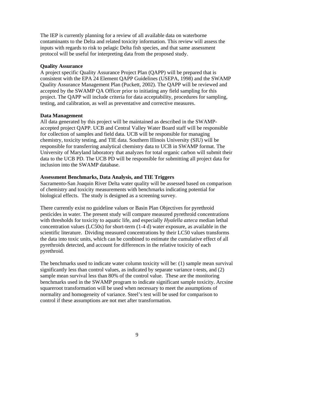The IEP is currently planning for a review of all available data on waterborne contaminants to the Delta and related toxicity information. This review will assess the inputs with regards to risk to pelagic Delta fish species, and that same assessment protocol will be useful for interpreting data from the proposed study.

#### **Quality Assurance**

A project specific Quality Assurance Project Plan (QAPP) will be prepared that is consistent with the EPA 24 Element QAPP Guidelines (USEPA, 1998) and the SWAMP Quality Assurance Management Plan (Puckett, 2002). The QAPP will be reviewed and accepted by the SWAMP QA Officer prior to initiating any field sampling for this project. The QAPP will include criteria for data acceptability, procedures for sampling, testing, and calibration, as well as preventative and corrective measures.

#### **Data Management**

All data generated by this project will be maintained as described in the SWAMPaccepted project QAPP. UCB and Central Valley Water Board staff will be responsible for collection of samples and field data. UCB will be responsible for managing chemistry, toxicity testing, and TIE data. Southern Illinois University (SIU) will be responsible for transferring analytical chemistry data to UCB in SWAMP format. The University of Maryland laboratory that analyzes for total organic carbon will submit their data to the UCB PD. The UCB PD will be responsible for submitting all project data for inclusion into the SWAMP database.

#### **Assessment Benchmarks, Data Analysis, and TIE Triggers**

Sacramento-San Joaquin River Delta water quality will be assessed based on comparison of chemistry and toxicity measurements with benchmarks indicating potential for biological effects. The study is designed as a screening survey.

There currently exist no guideline values or Basin Plan Objectives for pyrethroid pesticides in water. The present study will compare measured pyrethroid concentrations with thresholds for toxicity to aquatic life, and especially *Hyalella azteca* median lethal concentration values (LC50s) for short-term (1-4 d) water exposure, as available in the scientific literature. Dividing measured concentrations by their LC50 values transforms the data into toxic units, which can be combined to estimate the cumulative effect of all pyrethroids detected, and account for differences in the relative toxicity of each pyrethroid.

The benchmarks used to indicate water column toxicity will be: (1) sample mean survival significantly less than control values, as indicated by separate variance t-tests, and (2) sample mean survival less than 80% of the control value. These are the monitoring benchmarks used in the SWAMP program to indicate significant sample toxicity. Arcsine squareroot transformation will be used when necessary to meet the assumptions of normality and homogeneity of variance. Steel's test will be used for comparison to control if these assumptions are not met after transformation.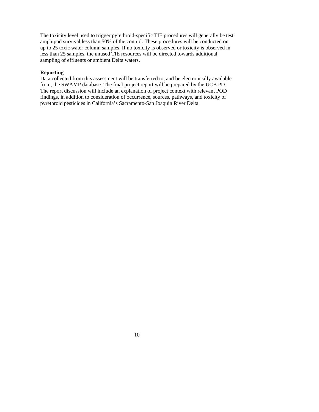The toxicity level used to trigger pyrethroid-specific TIE procedures will generally be test amphipod survival less than 50% of the control. These procedures will be conducted on up to 25 toxic water column samples. If no toxicity is observed or toxicity is observed in less than 25 samples, the unused TIE resources will be directed towards additional sampling of effluents or ambient Delta waters.

#### **Reporting**

Data collected from this assessment will be transferred to, and be electronically available from, the SWAMP database. The final project report will be prepared by the UCB PD. The report discussion will include an explanation of project context with relevant POD findings, in addition to consideration of occurrence, sources, pathways, and toxicity of pyrethroid pesticides in California's Sacramento-San Joaquin River Delta.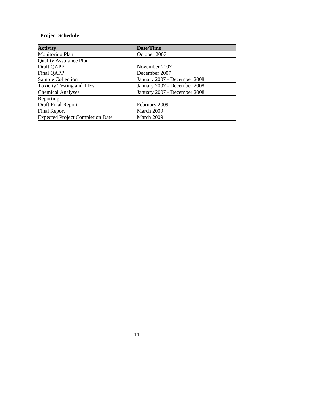## **Project Schedule**

| <b>Activity</b>                         | Date/Time                    |
|-----------------------------------------|------------------------------|
| <b>Monitoring Plan</b>                  | October 2007                 |
| <b>Quality Assurance Plan</b>           |                              |
| Draft QAPP                              | November 2007                |
| Final QAPP                              | December 2007                |
| Sample Collection                       | January 2007 - December 2008 |
| <b>Toxicity Testing and TIEs</b>        | January 2007 - December 2008 |
| <b>Chemical Analyses</b>                | January 2007 - December 2008 |
| Reporting                               |                              |
| Draft Final Report                      | February 2009                |
| <b>Final Report</b>                     | March 2009                   |
| <b>Expected Project Completion Date</b> | March 2009                   |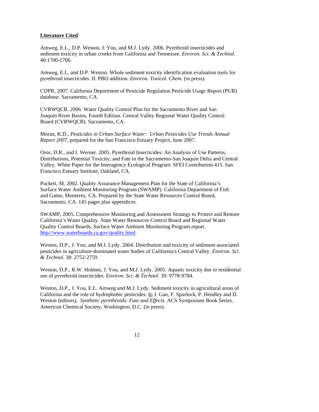#### **Literature Cited**

Amweg, E.L., D.P. Weston, J. You, and M.J. Lydy. 2006. Pyrethroid insecticides and sediment toxicity in urban creeks from California and Tennessee. *Environ. Sci. & Technol*. 40:1700-1706.

Amweg, E.L. and D.P. Weston. Whole sediment toxicity identification evaluation tools for pyrethroid insecticides. II. PBO addition. *Environ. Toxicol. Chem.* (in press).

CDPR, 2007. California Department of Pesticide Regulation Pesticide Usage Report (PUR) database. Sacramento, CA.

CVRWQCB. 2006. Water Quality Control Plan for the Sacramento River and San Joaquin River Basins, Fourth Edition. Central Valley Regional Water Quality Control Board (CVRWQCB). Sacramento, CA.

Moran, K.D., *Pesticides in Urban Surface Water: Urban Pesticides Use Trends Annual Report 2007*, prepared for the San Francisco Estuary Project, June 2007.

Oros, D.R., and I. Werner. 2005. Pyrethroid Insecticides: An Analysis of Use Patterns, Distributions, Potential Toxicity, and Fate in the Sacramento-San Joaquin Delta and Central Valley. White Paper for the Interagency Ecological Program. SFEI Contribution 415. San Francisco Estuary Institute, Oakland, CA.

Puckett, M. 2002. Quality Assurance Management Plan for the State of California's Surface Water Ambient Monitoring Program (SWAMP). California Department of Fish and Game, Monterey, CA. Prepared by the State Water Resources Control Board, Sacramento, CA. 145 pages plus appendices.

SWAMP, 2005. Comprehensive Monitoring and Assessment Strategy to Protect and Restore California's Water Quality. State Water Resources Control Board and Regional Water Quality Control Boards, Surface Water Ambient Monitoring Program report. [http://www.waterboards.ca.gov/quality.html.](http://www.waterboards.ca.gov/quality.html)

Weston, D.P., J. You, and M.J. Lydy. 2004. Distribution and toxicity of sediment-associated pesticides in agriculture-dominated water bodies of California's Central Valley. *Environ. Sci. & Technol*. 38: 2752-2759.

Weston, D.P., R.W. Holmes, J. You, and M.J. Lydy. 2005. Aquatic toxicity due to residential use of pyrethroid insecticides. *Environ. Sci. & Technol*. 39: 9778-9784.

Weston, D.P., J. You, E.L. Amweg and M.J. Lydy. Sediment toxicity in agricultural areas of California and the role of hydrophobic pesticides. In J. Gan, F. Spurlock, P. Hendley and D. Weston (editors), *Synthetic pyrethroids: Fate and Effects*. ACS Symposium Book Series, American Chemical Society, Washington, D.C. (in press).